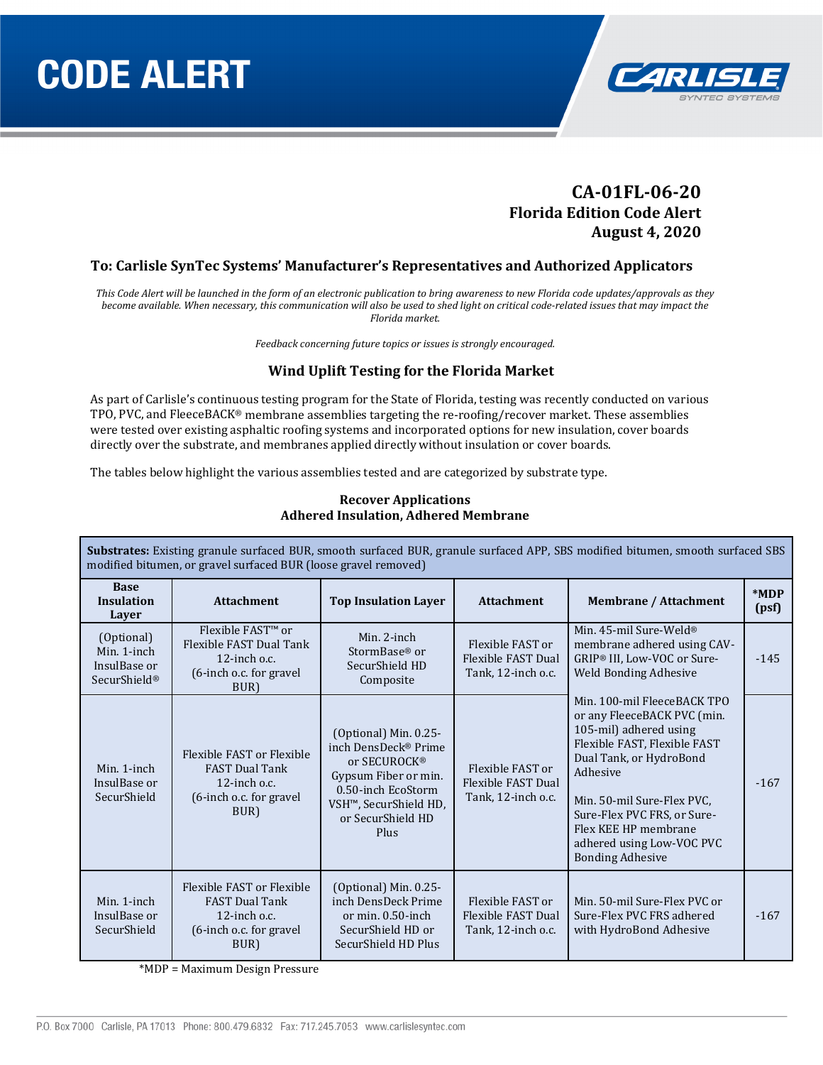# **CODE ALERT**



# **CA-01FL-06-20 Florida Edition Code Alert August 4, 2020**

# **To: Carlisle SynTec Systems' Manufacturer's Representatives and Authorized Applicators**

*This Code Alert will be launched in the form of an electronic publication to bring awareness to new Florida code updates/approvals as they become available. When necessary, this communication will also be used to shed light on critical code-related issues that may impact the Florida market.* 

*Feedback concerning future topics or issues is strongly encouraged.*

# **Wind Uplift Testing for the Florida Market**

As part of Carlisle's continuous testing program for the State of Florida, testing was recently conducted on various TPO, PVC, and FleeceBACK® membrane assemblies targeting the re-roofing/recover market. These assemblies were tested over existing asphaltic roofing systems and incorporated options for new insulation, cover boards directly over the substrate, and membranes applied directly without insulation or cover boards.

The tables below highlight the various assemblies tested and are categorized by substrate type.

| Substrates: Existing granule surfaced BUR, smooth surfaced BUR, granule surfaced APP, SBS modified bitumen, smooth surfaced SBS<br>modified bitumen, or gravel surfaced BUR (loose gravel removed) |                                                                                                                |                                                                                                                                                                                |                                                              |                                                                                                                                                                                                                                                                                                          |               |
|----------------------------------------------------------------------------------------------------------------------------------------------------------------------------------------------------|----------------------------------------------------------------------------------------------------------------|--------------------------------------------------------------------------------------------------------------------------------------------------------------------------------|--------------------------------------------------------------|----------------------------------------------------------------------------------------------------------------------------------------------------------------------------------------------------------------------------------------------------------------------------------------------------------|---------------|
| <b>Base</b><br><b>Insulation</b><br>Layer                                                                                                                                                          | <b>Attachment</b>                                                                                              | <b>Top Insulation Layer</b>                                                                                                                                                    | <b>Attachment</b>                                            | <b>Membrane / Attachment</b>                                                                                                                                                                                                                                                                             | *MDP<br>(psf) |
| (Optional)<br>Min. 1-inch<br>InsulBase or<br>SecurShield <sup>®</sup>                                                                                                                              | Flexible FAST <sup>™</sup> or<br>Flexible FAST Dual Tank<br>$12$ -inch o.c.<br>(6-inch o.c. for gravel<br>BUR) | Min. 2-inch<br>StormBase® or<br>SecurShield HD<br>Composite                                                                                                                    | Flexible FAST or<br>Flexible FAST Dual<br>Tank, 12-inch o.c. | Min. 45-mil Sure-Weld <sup>®</sup><br>membrane adhered using CAV-<br>GRIP® III, Low-VOC or Sure-<br><b>Weld Bonding Adhesive</b>                                                                                                                                                                         | $-145$        |
| Min. 1-inch<br>InsulBase or<br>SecurShield                                                                                                                                                         | Flexible FAST or Flexible<br><b>FAST Dual Tank</b><br>$12$ -inch o.c.<br>(6-inch o.c. for gravel<br>BUR)       | (Optional) Min. 0.25-<br>inch DensDeck® Prime<br>or SECUROCK®<br>Gypsum Fiber or min.<br>0.50-inch EcoStorm<br>VSH <sup>™</sup> , SecurShield HD,<br>or SecurShield HD<br>Plus | Flexible FAST or<br>Flexible FAST Dual<br>Tank, 12-inch o.c. | Min. 100-mil FleeceBACK TPO<br>or any FleeceBACK PVC (min.<br>105-mil) adhered using<br>Flexible FAST, Flexible FAST<br>Dual Tank, or HydroBond<br>Adhesive<br>Min. 50-mil Sure-Flex PVC.<br>Sure-Flex PVC FRS, or Sure-<br>Flex KEE HP membrane<br>adhered using Low-VOC PVC<br><b>Bonding Adhesive</b> | $-167$        |
| Min. 1-inch<br>InsulBase or<br>SecurShield                                                                                                                                                         | Flexible FAST or Flexible<br><b>FAST Dual Tank</b><br>12-inch $o.c.$<br>(6-inch o.c. for gravel)<br>BUR)       | (Optional) Min. 0.25-<br>inch DensDeck Prime<br>or min. 0.50-inch<br>SecurShield HD or<br>SecurShield HD Plus                                                                  | Flexible FAST or<br>Flexible FAST Dual<br>Tank, 12-inch o.c. | Min. 50-mil Sure-Flex PVC or<br>Sure-Flex PVC FRS adhered<br>with HydroBond Adhesive                                                                                                                                                                                                                     | $-167$        |

#### **Recover Applications Adhered Insulation, Adhered Membrane**

\*MDP = Maximum Design Pressure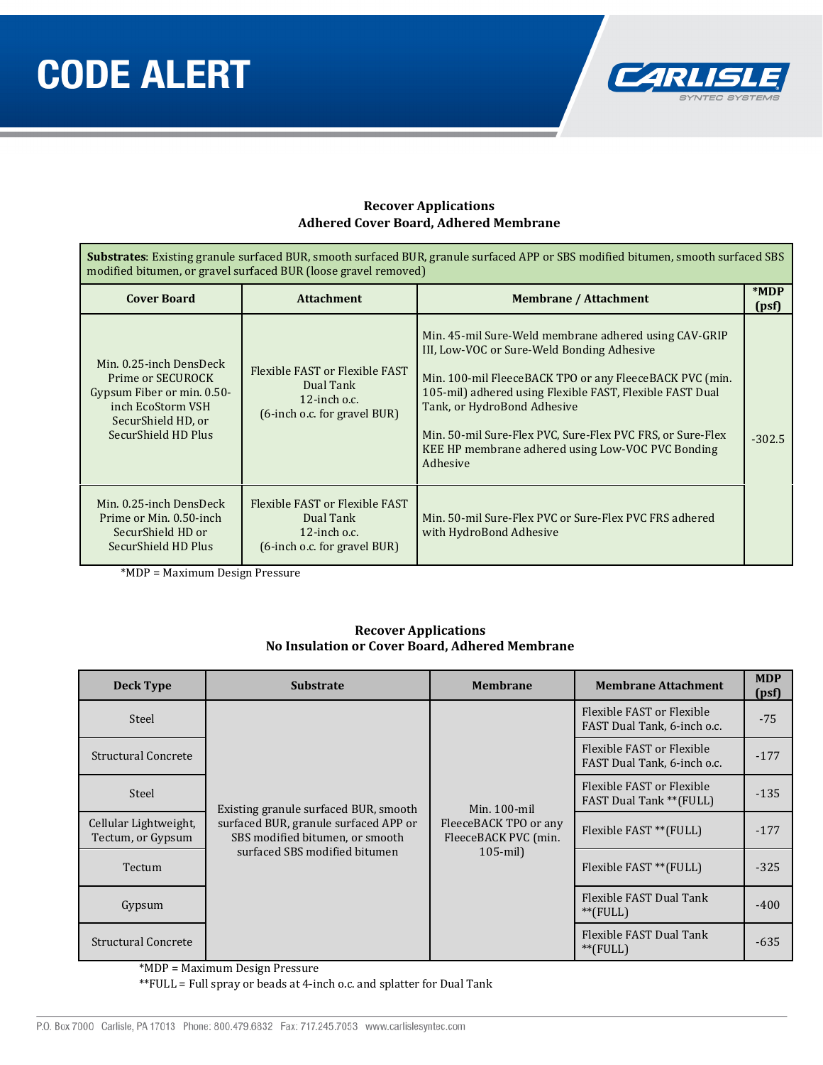

# **Recover Applications Adhered Cover Board, Adhered Membrane**

| Substrates: Existing granule surfaced BUR, smooth surfaced BUR, granule surfaced APP or SBS modified bitumen, smooth surfaced SBS<br>modified bitumen, or gravel surfaced BUR (loose gravel removed) |                                                                                                |                                                                                                                                                                                                                                                                                                                                                                                          |          |  |  |  |
|------------------------------------------------------------------------------------------------------------------------------------------------------------------------------------------------------|------------------------------------------------------------------------------------------------|------------------------------------------------------------------------------------------------------------------------------------------------------------------------------------------------------------------------------------------------------------------------------------------------------------------------------------------------------------------------------------------|----------|--|--|--|
| <b>Cover Board</b>                                                                                                                                                                                   | <b>Attachment</b>                                                                              | <b>Membrane / Attachment</b>                                                                                                                                                                                                                                                                                                                                                             |          |  |  |  |
| Min. 0.25-inch DensDeck<br>Prime or SECUROCK<br>Gypsum Fiber or min. 0.50-<br>inch EcoStorm VSH<br>SecurShield HD, or<br>SecurShield HD Plus                                                         | Flexible FAST or Flexible FAST<br>Dual Tank<br>$12$ -inch o.c.<br>(6-inch o.c. for gravel BUR) | Min. 45-mil Sure-Weld membrane adhered using CAV-GRIP<br>III, Low-VOC or Sure-Weld Bonding Adhesive<br>Min. 100-mil FleeceBACK TPO or any FleeceBACK PVC (min.<br>105-mil) adhered using Flexible FAST, Flexible FAST Dual<br>Tank, or HydroBond Adhesive<br>Min. 50-mil Sure-Flex PVC, Sure-Flex PVC FRS, or Sure-Flex<br>KEE HP membrane adhered using Low-VOC PVC Bonding<br>Adhesive | $-302.5$ |  |  |  |
| Min. 0.25-inch DensDeck<br>Prime or Min. 0.50-inch<br>SecurShield HD or<br>SecurShield HD Plus                                                                                                       | Flexible FAST or Flexible FAST<br>Dual Tank<br>$12$ -inch o.c.<br>(6-inch o.c. for gravel BUR) | Min. 50-mil Sure-Flex PVC or Sure-Flex PVC FRS adhered<br>with HydroBond Adhesive                                                                                                                                                                                                                                                                                                        |          |  |  |  |

\*MDP = Maximum Design Pressure

### **Recover Applications No Insulation or Cover Board, Adhered Membrane**

| Deck Type                                  | <b>Substrate</b>                                                                                                  | <b>Membrane</b>                                                  | <b>Membrane Attachment</b>                               | <b>MDP</b><br>(psf) |
|--------------------------------------------|-------------------------------------------------------------------------------------------------------------------|------------------------------------------------------------------|----------------------------------------------------------|---------------------|
| Steel                                      |                                                                                                                   |                                                                  | Flexible FAST or Flexible<br>FAST Dual Tank, 6-inch o.c. | $-75$               |
| <b>Structural Concrete</b>                 |                                                                                                                   |                                                                  | Flexible FAST or Flexible<br>FAST Dual Tank, 6-inch o.c. | $-177$              |
| Steel                                      | Existing granule surfaced BUR, smooth<br>surfaced BUR, granule surfaced APP or<br>SBS modified bitumen, or smooth | Min. $100$ -mil<br>FleeceBACK TPO or any<br>FleeceBACK PVC (min. | Flexible FAST or Flexible<br>FAST Dual Tank ** (FULL)    | $-135$              |
| Cellular Lightweight,<br>Tectum, or Gypsum |                                                                                                                   |                                                                  | Flexible FAST **(FULL)                                   | $-177$              |
| Tectum                                     | surfaced SBS modified bitumen                                                                                     | $105$ -mil)                                                      | Flexible FAST **(FULL)                                   | $-325$              |
| Gypsum                                     |                                                                                                                   |                                                                  | Flexible FAST Dual Tank<br>$*$ $($ FULL $)$              | $-400$              |
| <b>Structural Concrete</b>                 |                                                                                                                   |                                                                  | Flexible FAST Dual Tank<br>$*$ $($ FULL $)$              | $-635$              |

\*MDP = Maximum Design Pressure

\*\*FULL = Full spray or beads at 4-inch o.c. and splatter for Dual Tank